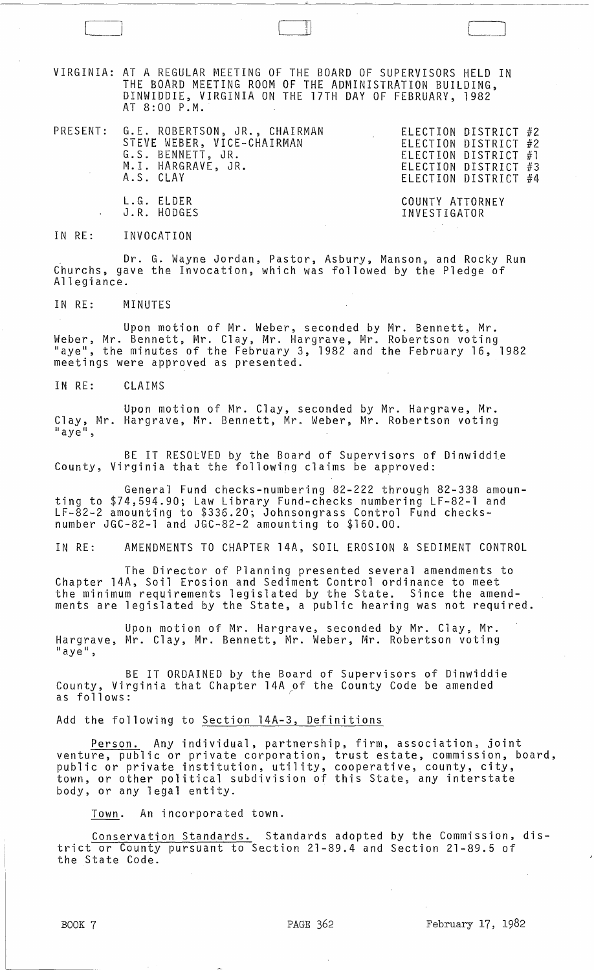VIRGINIA: AT A REGULAR MEETING OF THE BOARD OF SUPERVISORS HELD IN THE BOARD MEETING ROOM OF THE ADMINISTRATION BUILDING, DINWIDDIE, VIRGINIA ON THE 17TH DAY OF FEBRUARY, 1982 AT 8:00 P.M.

- PRESENT: G.E. ROBERTSON, JR., CHAIRMAN STEVE WEBER, VICE-CHAIRMAN G.S. BENNETT, JR. M.I. HARGRAVE, JR. A.S. CLAY
- ELECTION DISTRICT #2 ELECTION DISTRICT #2 ELECTION DISTRICT #1 ELECTION DISTRICT #3 ELECTION DISTRICT #4

COUNTY ATTORNEY INVESTIGATOR

11) 1

IN RE: INVOCATION

L.G. ELDER J.R. HODGES

Dr. G. Wayne Jordan, Pastor, Asbury, Manson, and Rocky Run Churchs, gave the Invocation, which was followed by the Pledge of Allegiance.

IN RE: MINUTES

Upon motion of Mr. Weber, seconded by Mr. Bennett, Mr. Weber, Mr. Bennett, Mr. Clay, Mr. Hargrave, Mr. Robertson voting "aye", the minutes of the February 3, 1982 and the February 16, 1982 meetings were approved as presented.

IN RE: CLAIMS

Upon motion of Mr. Clay, seconded by Mr. Hargrave, Mr. Clay, Mr. Hargrave, Mr. Bennett, Mr. Weber, Mr. Robertson voting "aye",

BE IT RESOLVED by the Board of Supervisors of Dinwiddie County, Virginia that the following claims be approved:

General Fund checks-numbering 82-222 through 82-338 amounting to \$74,594.90; Law Library Fund-checks numbering LF-82-1 and LF-82-2 amounting to \$336.20; Johnsongrass Control Fund checksnumber JGC-82-1 and JGC-82-2 amounting to \$160.00.

IN RE: AMENDMENTS TO CHAPTER 14A, SOIL EROSION & SEDIMENT CONTROL

The Director of Planning presented several amendments to Chapter l4A, Soil Erosion and Sediment Control ordinance to meet the minimum requirements legislated by the State. Since the amendments are legislated by the State, a public hearing was not required.

Upon motion of Mr. Hargrave, seconded by Mr. Clay, Mr. Hargrave, Mr. Clay, Mr. Bennett, Mr. Weber, Mr. Robertson voting  $^{\prime\prime}$ aye",

BE IT ORDAINED by the Board of Supervisors of Dinwiddie County, Virginia that Chapter 14A of the County Code be amended as follows: .

## Add the following to Section 14A-3, Definitions

Person. Any individual, partnership, firm, association, joint venture, public or private corporation, trust estate, commission, board, public or private institution, utility, cooperative, county, city, town, or other political subdivision of this State, any interstate body, or any legal entity.

Town. An incorporated town.

Conservation Standards. Standards adopted by the Commission, district or County pursuant to Section 21-89.4 and Section 21-89.5 of the State Code.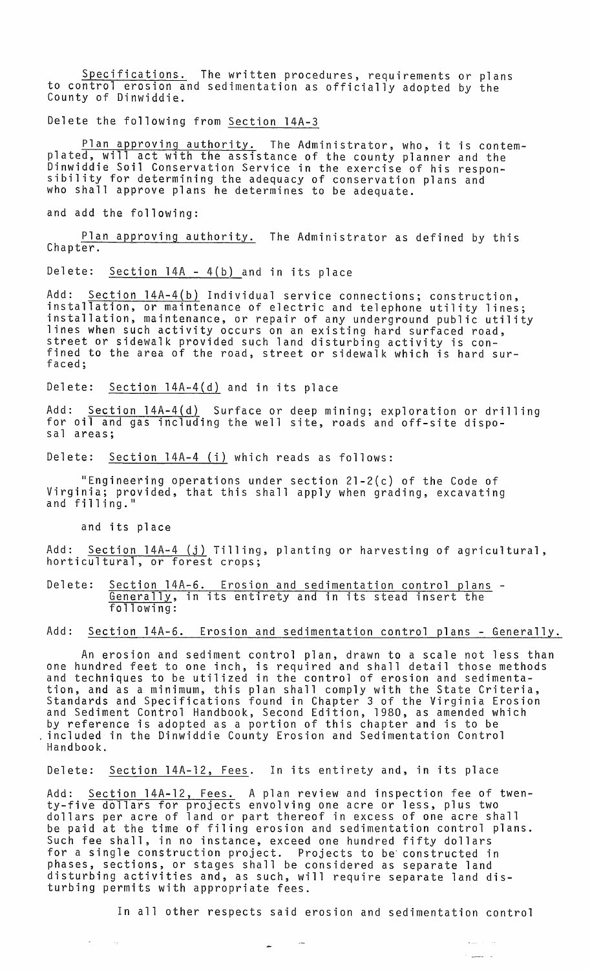Specifications. The written procedures, requirements or plans to control erosion and sedimentation as officially adopted by the County of Dinwiddie.

Delete the following from Section 14A-3

Plan approving authority. The Administrator, who, it is contemplated, will act with the assistance of the county planner and the Dinwiddie Soil Conservation Service in the exercise of his respon- sibility for determining the adequacy of conservation plans and who shall approve plans he determines to be adequate.

and add the following:

Plan approving authority. The Administrator as defined by this Chapter.

Delete: Section 14A - 4(b) and in its place

Add: Section 14A-4(b) Individual service connections; construction, installation, or maintenance of electric and telephone utility lines; installation, maintenance, or repair of any underground public utility lines when such activity occurs on an existing hard surfaced road, street or sidewalk provided such land disturbing activity is confined to the area of the road, street or sidewalk which is hard surfaced;

Delete: Section 14A-4(d) and in its place

Add: Section 14A-4(d) Surface or deep mining; exploration or drilling for oil and gas including the well site, roads and off-site dispo-<br>sal areas;

Delete: Section 14A-4 (i) which reads as follows:

"Engineering operations under section  $21-2(c)$  of the Code of Virginia; provided, that this shall apply when grading, excavating<br>and filling."

and its place

 $\sim 10^7$ 

Add: Section 14A-4 (j) Tilling, planting or harvesting of agricultural, horticultural,

Delete: Section 14A-6. Erosion and sedimentation control plans -<br>Generally, in its entirety and in its stead insert the following:

## Add: Section 14A-6. Erosion and sedimentation control plans - Generally.

An erosion and sediment control plan, drawn to a scale not less than one hundred feet to one inch, is required and shall detail those methods and techniques to be utilized in the control of erosion and sedimentation, and as a minimum, this plan shall comply with the State Criteria, Standards and Specifications found in Chapter 3 of the Virginia Erosion and Sediment Control Handbook, Second Edition, 1980, as amended which by reference is adopted as a portion of this chapter and is to be ,included in the Dinwiddie County Erosion and Sedimentation Control Handbook.

Delete: Section 14A-12, Fees. In its entirety and, in its place

 $\sim$ 

Add: <u>Section 14A-12, Fees.</u> A plan review and inspection fee of twenty-five dollars for projects envolving one acre or less, plus two dollars per acre of land or part thereof in excess of one acre shall be paid at the time of filing erosion and sedimentation control plans. Such fee shall, in no instance, exceed one hundred fifty dollars for a single construction project. Projects to be' constructed in phases, sections, or stages shall be considered as separate land disturbing activities and, as such, will require separate land disturbing permits with appropriate fees.

In all other respects said erosion and sedimentation control

 $\sim$  1000  $\pm$  1000  $\pm$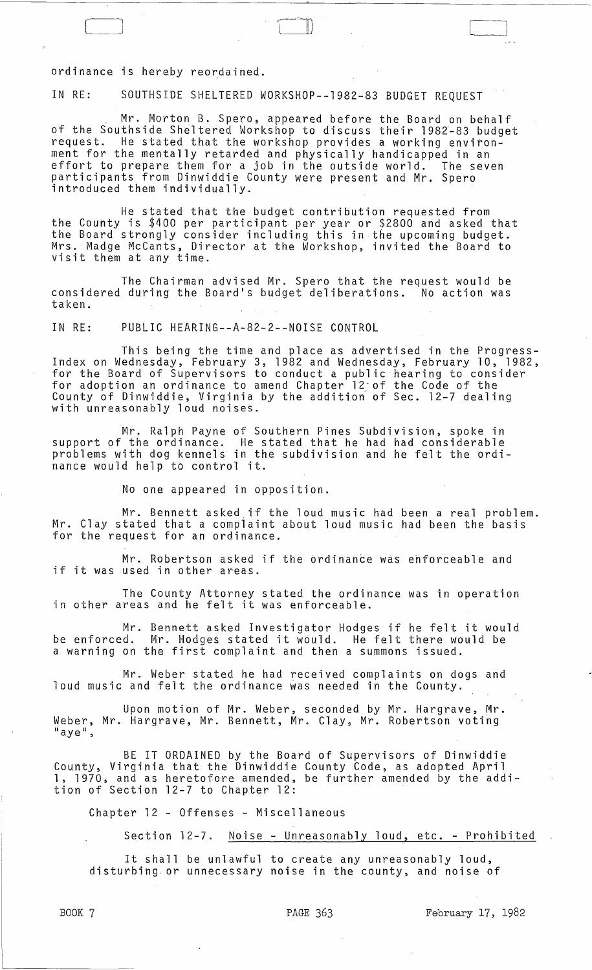ordinance is hereby reordained.

IN RE: SOUTHSIDE SHELTERED WORKSHOP--1982-83 BUDGET REQUEST

, Mr. Morton B. Spero, appeared before the Board on behalf of the Southside Sheltered Workshop to discuss their 1982-83 budget request. He stated that the workshop provides a working environment for the mentally retarded and physically handicapped in an effort to prepare them for a job in the outside world. The seven participants from Dinwiddie County were present and Mr. Spero introduced them individually.

He stated that the budget contribution requested from the County is \$400 per participant per year or \$2800 and asked that the Board strongly consider including this in the upcoming budget. Mrs. Madge McCants, Director at the Workshop, invited the Board to visit them at any time.

The Chairman advised Mr. Spero that the request would be considered during the Board's budget deliberations. No action was taken.

IN RE: PUBLIC HEARING--A-82-2--NOISE CONTROL

This being the time and place as advertised in the Progress- Index on Wednesday, February 3, 1982 and Wednesday, February 10, 1982, for the Board of Supervisors to conduct a public hearing to consider for adoption an ordinance to amend Chapter 12-of the Code of the County of Dinwiddie, Virginia by the addition of Sec. 12-7 dealing with unreasonably loud noises.

Mr. Ralph Payne of Southern Pines Subdivision, Spoke in support of the ordinance. He stated that he had had considerable problems with dog kennels in the subdivision and he felt the ordinance would help to control it.

No one appeared in opposition.

Mr. Bennett asked if the loud music had been a real problem. Mr. Clay stated that a compiaint about loud music had been the basis for the request for an ordinance.

Mr. Robertson asked if the ordinance was ehforceable and if it was used in other areas.

The County Attorney stated the ordinance was in operation in other areas and he felt it was enforceable.

Mr. Bennett asked Investigator Hodges if he felt it would be enforced. Mr. Hodges stated it would. He felt there would be a warning on the first complaint and then a summons issued.

Mr. Weber stated he had received complaints on dogs and loud music and felt the ordinance was needed in the County.

Upon motion of Mr. Weber, seconded by Mr. Hargrave, Mr. Weber, Mr. Hargrave, Mr. Bennett, Mr. Clay, Mr. Robertson voting laye",

BE IT ORDAINED by the Board of Supervisors of Dinwiddie County, Virginia that the Dinwiddie County Code, as adopted April 1, 1970, and as heretofore amended, be further amended by the addition of Section 12-7 to Chapter 12:

Chapter 12 - Offenses - Miscellaneous

Section 12-7. Noise - Unreasonably loud, etc. - Prohibited

It shall be unlawful to create any unreasonably loud, disturbing. or unnecessary noise in the county, and noise of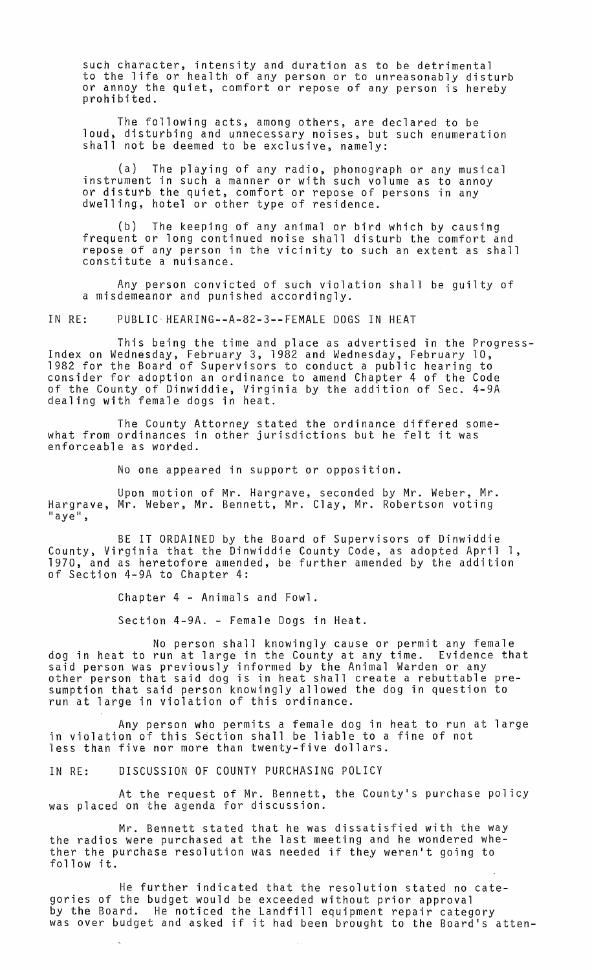such character, intensity and duration as to be detrimental to the life or health of any person or to unreasonably disturb or annoy the quiet, comfort or repose of any person is hereby prohibited.

The following acts, among others, are declared to be loud, disturbing and unnecessary noises, but such enumeration shall not be deemed to be exclusive, namely:

(a) The playing of any radio, phonograph or any musical instrument in such a manner or with such volume as to annoy or disturb the quiet, comfort or repose of persons in any dwelling, hotel or other type of residence.

(b) The keeping of any animal or bird which by causing frequent or long continued noise shall disturb the comfort and repose of any person in the vicinity to such an extent as shall constitute a nuisance.

Any person convicted of such violation shall be guilty of a misdemeanor and punished accordingly.

IN RE: PUBLIC· HEARING--A-82-3--FEMALE DOGS IN HEAT

This being the time and place as advertised in the Progress- Index on Wednesday, February 3, 1982 and Wednesday, February 10, 1982 for the Board of Supervisors to conduct a public hearing to consider for adoption an ordinance to amend Chapter 4 of the Code of the County of Dinwiddie, Virginia by the addition of Sec. 4-9A dealing with female dogs in heat.

The County Attorney stated the ordinance differed somewhat from ordinances in other jurisdictions but he felt it was enforceable as worded.

No one appeared in support or opposition.

Upon motion of Mr. Hargrave, seconded by Mr. Weber, Mr. Hargrave, Mr. Weber, Mr. Bennett, Mr. Clay, Mr. Robertson voting<br>"aye",

BE IT ORDAINED by the Board of Supervisors of Dinwiddie County, Virginia that the Dinwiddie County Code, as adopted April 1, 1970, and as heretofore amended, be further amended by the addition of Section 4-9A to Chapter 4:

Chapter 4 - Animals and Fowl.

Section 4-9A. - Female Dogs in Heat.

No person shall knowingly cause or permit any female dog in heat to run at large in the County at any time. Evidence that said person was previously informed by the Animal Warden or any<br>other person that said dog is in heat shall create a rebuttable presumption that said person knowingly allowed the dog in question to run at large in violation of this ordinance.

Any person who permits a female dog in heat to run at large in violation of this Section shall be liable to a fine of not less than five nor more than twenty-five dollars.

IN RE: DISCUSSION OF COUNTY PURCHASING POLICY

At the request of Mr. Bennett, the County's purchase policy was placed on the agenda for discussion.

Mr. Bennett stated that he was dissatisfied with the way the radios were purchased at the last meeting and he wondered whether the purchase resolution was needed if they weren't going to follow it.

He further indicated that the resolution stated no categories of the budget would be exceeded without prior approval by the Board. He noticed the Landfill equipment repair category by the board. The hotited the Landfiff equipment repair category<br>was over budget and asked if it had been brought to the Board's atten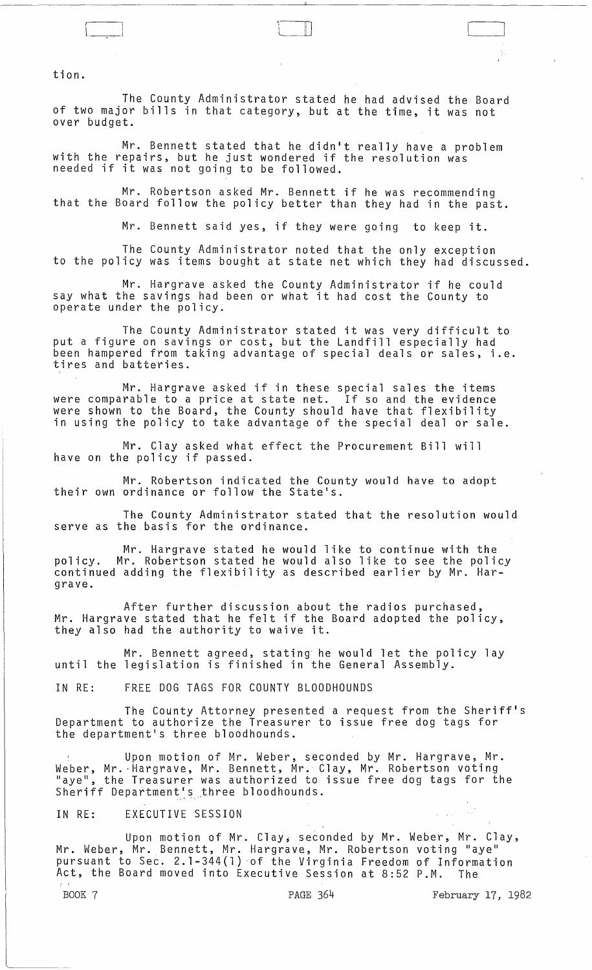tion.

The County Administrator stated he had advised the Board of two major bills in that category, but at the time, it was not over budget. .

, \.

Mr. Bennett stated that he didn't really have a problem with the repairs, but he just wondered if the resolution was with the repairs, but he just wondered in<br>needed if it was not going to be followed.

Mr. Robertson asked Mr. Bennett if he was recommending that the Board follow the policy better than they had in the past.

Mr. Bennett said yes, if they were going to keep it.

The County Administrator noted that the only exception to the policy was items bought at state net which they had discussed.

Mr. Hargrave asked the County Administrator if he could say what the savings had been or what it had cost the County to operate under the policy.

The County Administrator stated it was very difficult to put a figure on savings or cost, but the Landfill especially had been hampered from taking advantage of special deals or sales, i.e. tires and batteries.

Mr. Hargrave asked if in these special sales the items were comparable to a price at state net. If so and the evidence were shown to the Board, the County should have that flexibility in using the policy to take advantage of the special deal or sale.

Mr. Clay asked what effect the Procurement Bill will have on the policy if passed.

Mr. Robertson indicated the County would have to adopt<br>their own ordinance or follow the State's.

The County Administrator stated that the resolution would serve as the basis for the ordinance.

Mr. Hargrave stated he would like to continue with the policy. Mr. Robertson stated he would also like to see the policy policy. Mr. Robertson stated he would also like to see the polic<br>continued adding the flexibility as described earlier by Mr. Hargrave.

After further discussion about the radios purchased, Mr. Hargrave stated that he felt if the Board adopted the policy, they also had the authority to waive it.

Mr. Bennett agreed, stating he would let the policy lay until the legislation is finished in the General Assembly.

IN RE: FREE DOG TAGS FOR COUNTY BLOODHOUNDS

The County Attorney presented a request from the Sheriff's Department to authorize the Treasurer to issue free dog tags for the department's three bloodhounds.

Upon motion of Mr. Weber, seconded by Mr. Hargrave, Mr. Weber, Mr. ·Hargrave, Mr. Bennett, Mr. Clay, Mr. Robertson voting "aye"; the Treasurer was authorized to issue free dog tags for the Sheriff Department<sup>r</sup>s three bloodhounds.

## IN RE: EXECUTIVE SESSION

Upon motion of Mr. Clay, seconded by Mr. Weber, Mr. Clay, Mr. Weber, Mr. Bennett, Mr. Hargrave, Mr. Robertson voting "aye" pursuant to Sec. 2.1-344(1) of the Virginia Freedom of Information Act, the Board moved into Executive Session at 8:52 P.M. The

 $\mathcal{L}_{\mathcal{A}}$